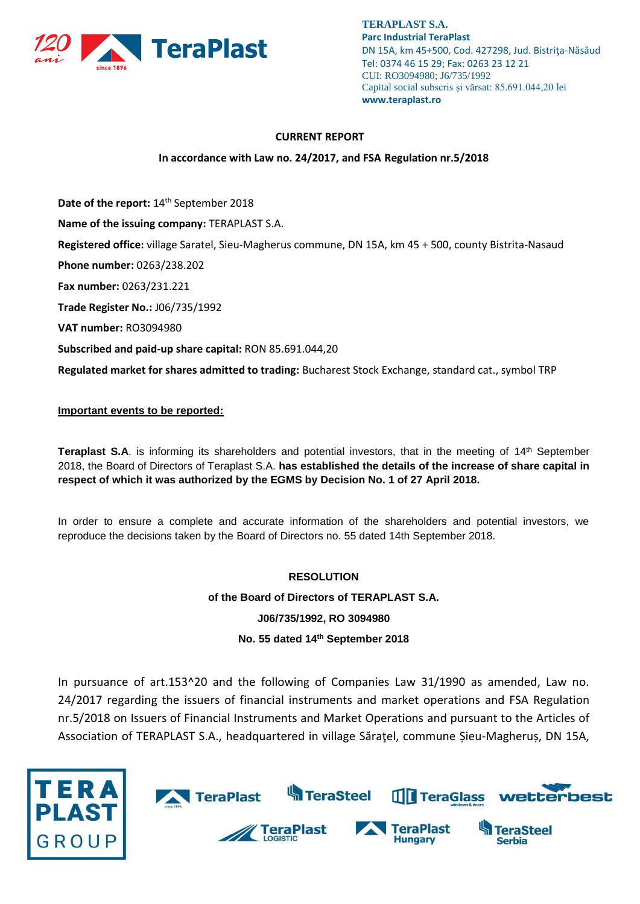

#### **CURRENT REPORT**

### **In accordance with Law no. 24/2017, and FSA Regulation nr.5/2018**

Date of the report: 14<sup>th</sup> September 2018

**Name of the issuing company:** TERAPLAST S.A.

**Registered office:** village Saratel, Sieu-Magherus commune, DN 15A, km 45 + 500, county Bistrita-Nasaud

**Phone number:** 0263/238.202

**Fax number:** 0263/231.221

**Trade Register No.:** J06/735/1992

**VAT number:** RO3094980

**Subscribed and paid-up share capital:** RON 85.691.044,20

**Regulated market for shares admitted to trading:** Bucharest Stock Exchange, standard cat., symbol TRP

### **Important events to be reported:**

Teraplast S.A. is informing its shareholders and potential investors, that in the meeting of 14<sup>th</sup> September 2018, the Board of Directors of Teraplast S.A. **has established the details of the increase of share capital in respect of which it was authorized by the EGMS by Decision No. 1 of 27 April 2018.**

In order to ensure a complete and accurate information of the shareholders and potential investors, we reproduce the decisions taken by the Board of Directors no. 55 dated 14th September 2018.

# **RESOLUTION**

**of the Board of Directors of TERAPLAST S.A.**

**J06/735/1992, RO 3094980**

## **No. 55 dated 14 th September 2018**

In pursuance of art.153^20 and the following of Companies Law 31/1990 as amended, Law no. 24/2017 regarding the issuers of financial instruments and market operations and FSA Regulation nr.5/2018 on Issuers of Financial Instruments and Market Operations and pursuant to the Articles of Association of TERAPLAST S.A., headquartered in village Săraţel, commune Șieu-Magheruș, DN 15A,

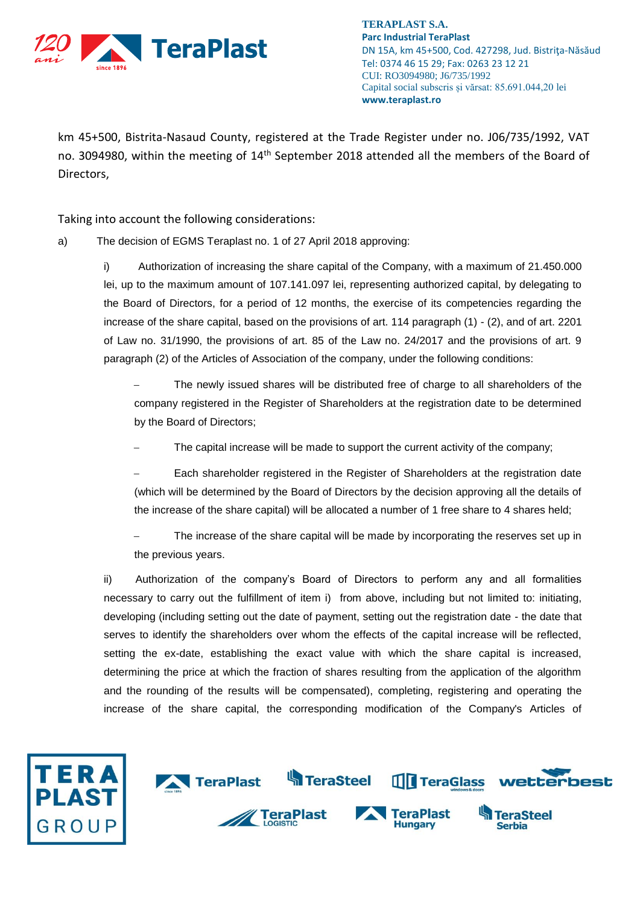

km 45+500, Bistrita-Nasaud County, registered at the Trade Register under no. J06/735/1992, VAT no. 3094980, within the meeting of 14<sup>th</sup> September 2018 attended all the members of the Board of Directors,

Taking into account the following considerations:

a) The decision of EGMS Teraplast no. 1 of 27 April 2018 approving:

i) Authorization of increasing the share capital of the Company, with a maximum of 21.450.000 lei, up to the maximum amount of 107.141.097 lei, representing authorized capital, by delegating to the Board of Directors, for a period of 12 months, the exercise of its competencies regarding the increase of the share capital, based on the provisions of art. 114 paragraph (1) - (2), and of art. 2201 of Law no. 31/1990, the provisions of art. 85 of the Law no. 24/2017 and the provisions of art. 9 paragraph (2) of the Articles of Association of the company, under the following conditions:

 The newly issued shares will be distributed free of charge to all shareholders of the company registered in the Register of Shareholders at the registration date to be determined by the Board of Directors;

The capital increase will be made to support the current activity of the company;

 Each shareholder registered in the Register of Shareholders at the registration date (which will be determined by the Board of Directors by the decision approving all the details of the increase of the share capital) will be allocated a number of 1 free share to 4 shares held;

 The increase of the share capital will be made by incorporating the reserves set up in the previous years.

ii) Authorization of the company's Board of Directors to perform any and all formalities necessary to carry out the fulfillment of item i) from above, including but not limited to: initiating, developing (including setting out the date of payment, setting out the registration date - the date that serves to identify the shareholders over whom the effects of the capital increase will be reflected, setting the ex-date, establishing the exact value with which the share capital is increased, determining the price at which the fraction of shares resulting from the application of the algorithm and the rounding of the results will be compensated), completing, registering and operating the increase of the share capital, the corresponding modification of the Company's Articles of

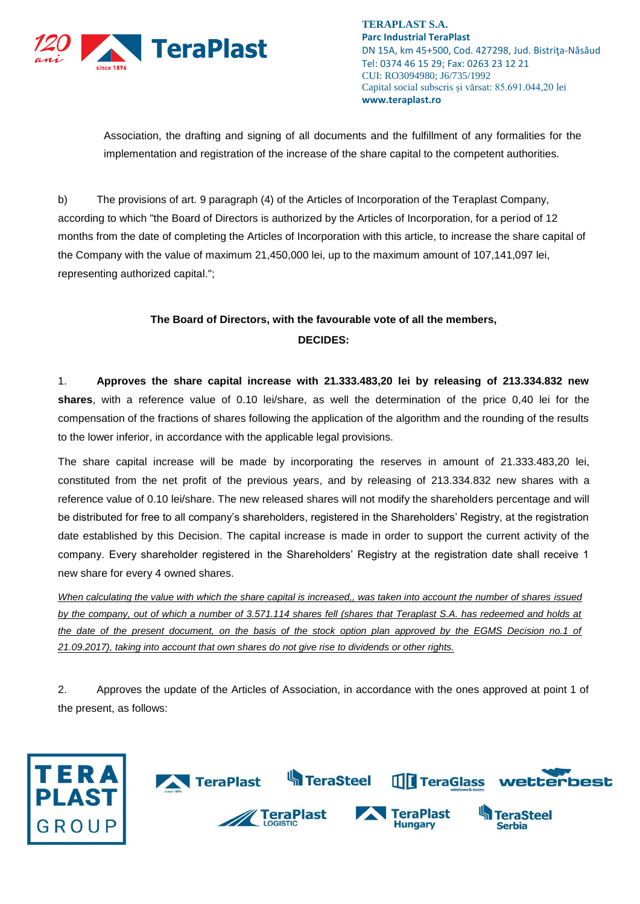

Association, the drafting and signing of all documents and the fulfillment of any formalities for the implementation and registration of the increase of the share capital to the competent authorities.

b) The provisions of art. 9 paragraph (4) of the Articles of Incorporation of the Teraplast Company, according to which "the Board of Directors is authorized by the Articles of Incorporation, for a period of 12 months from the date of completing the Articles of Incorporation with this article, to increase the share capital of the Company with the value of maximum 21,450,000 lei, up to the maximum amount of 107,141,097 lei, representing authorized capital.";

# **The Board of Directors, with the favourable vote of all the members, DECIDES:**

1. **Approves the share capital increase with 21.333.483,20 lei by releasing of 213.334.832 new shares**, with a reference value of 0.10 lei/share, as well the determination of the price 0,40 lei for the compensation of the fractions of shares following the application of the algorithm and the rounding of the results to the lower inferior, in accordance with the applicable legal provisions.

The share capital increase will be made by incorporating the reserves in amount of 21.333.483,20 lei, constituted from the net profit of the previous years, and by releasing of 213.334.832 new shares with a reference value of 0.10 lei/share. The new released shares will not modify the shareholders percentage and will be distributed for free to all company's shareholders, registered in the Shareholders' Registry, at the registration date established by this Decision. The capital increase is made in order to support the current activity of the company. Every shareholder registered in the Shareholders' Registry at the registration date shall receive 1 new share for every 4 owned shares.

*When calculating the value with which the share capital is increased,, was taken into account the number of shares issued by the company, out of which a number of 3.571.114 shares fell (shares that Teraplast S.A. has redeemed and holds at the date of the present document, on the basis of the stock option plan approved by the EGMS Decision no.1 of 21.09.2017), taking into account that own shares do not give rise to dividends or other rights.*

2. Approves the update of the Articles of Association, in accordance with the ones approved at point 1 of the present, as follows: